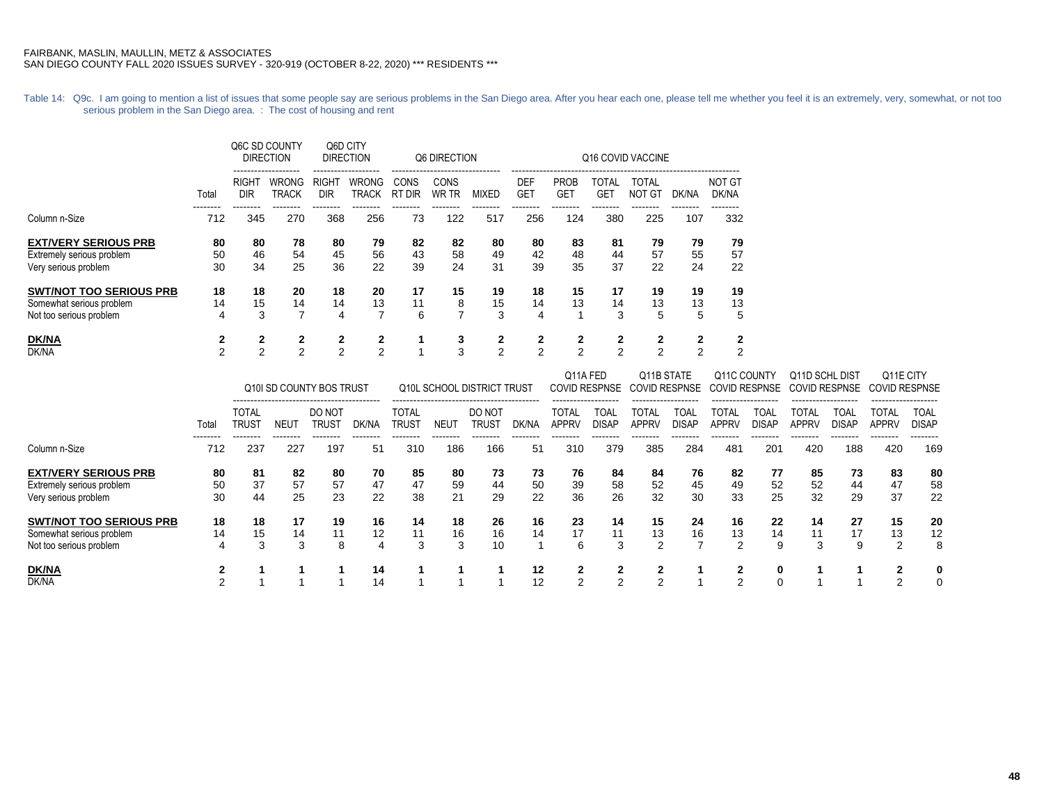Table 14: Q9c. I am going to mention a list of issues that some people say are serious problems in the San Diego area. After you hear each one, please tell me whether you feel it is an extremely, very, somewhat, or not too serious problem in the San Diego area. : The cost of housing and rent

|                                |                |                    | Q6C SD COUNTY<br><b>DIRECTION</b> |                            | Q6D CITY<br><b>DIRECTION</b> |                            | Q6 DIRECTION         |              |                          |                           | Q16 COVID VACCINE          |                               |       |                        |  |  |  |  |  |
|--------------------------------|----------------|--------------------|-----------------------------------|----------------------------|------------------------------|----------------------------|----------------------|--------------|--------------------------|---------------------------|----------------------------|-------------------------------|-------|------------------------|--|--|--|--|--|
|                                | Total          | <b>RIGH</b><br>DIR | WRONG<br><b>TRACK</b>             | <b>RIGHT</b><br><b>DIR</b> | <b>WRONG</b><br><b>TRACK</b> | CONS<br><b>RT</b><br>" DIR | CONS<br><b>WR TR</b> | <b>MIXED</b> | <b>DEF</b><br><b>GET</b> | <b>PROB</b><br><b>GET</b> | <b>TOTAL</b><br><b>GET</b> | <b>TOTAL</b><br><b>NOT GT</b> | DK/NA | <b>NOT GT</b><br>DK/NA |  |  |  |  |  |
| Column n-Size                  | 712            | 345                | 270                               | 368                        | 256                          | 73                         | 122                  | 517          | 256                      | 124                       | 380                        | 225                           | 107   | 332                    |  |  |  |  |  |
| <b>EXT/VERY SERIOUS PRB</b>    | 80             | 80                 | 78                                | 80                         | 79                           | 82                         | 82                   | 80           | 80                       | 83                        | 81                         | 79                            | 79    | 79                     |  |  |  |  |  |
| Extremely serious problem      | 50             | 46                 | 54                                | 45                         | 56                           | 43                         | 58                   | 49           | 42                       | 48                        | 44                         | 57                            | 55    | 57                     |  |  |  |  |  |
| Very serious problem           | 30             | 34                 | 25                                | 36                         | 22                           | 39                         | 24                   | 31           | 39                       | 35                        | 37                         | 22                            | 24    | 22                     |  |  |  |  |  |
| <b>SWT/NOT TOO SERIOUS PRB</b> | 18             | 18                 | 20                                | 18                         | 20                           | 17                         | 15                   | 19           | 18                       | 15                        | 17                         | 19                            | 19    | 19                     |  |  |  |  |  |
| Somewhat serious problem       | 14             | 15                 | 14                                | 14                         | 13                           | 11                         | 8                    | 15           | 14                       | 13                        | 14                         | 13                            | 13    | 13                     |  |  |  |  |  |
| Not too serious problem        | 4              | 3                  | 7                                 | 4                          |                              | 6                          |                      | 3            | 4                        |                           | 3                          | 5                             | 5     | 5                      |  |  |  |  |  |
| <b>DK/NA</b>                   | $\mathbf{2}$   | 2                  | $\mathbf{2}$                      | 2                          | 2                            |                            | 3                    | 2            | $\mathbf{2}$             | 2                         | $\mathbf{2}$               | $\mathbf{2}$                  | 2     | 2                      |  |  |  |  |  |
| DK/NA                          | $\overline{2}$ | 2                  | $\overline{2}$                    | 2                          | $\overline{2}$               |                            | 3                    | 2            | 2                        | 2                         | $\overline{2}$             | 2                             | 2     | 2                      |  |  |  |  |  |

|                                |                 | Q10I SD COUNTY BOS TRUST          |                  |                 |       | <b>Q10L SCHOOL DISTRICT TRUST</b> |      |                 |       |                | Q11A FED<br><b>COVID RESPNSE</b><br>------------------ |                       | Q11B STATE<br><b>COVID RESPNSE</b><br>------------------ |                | Q11C COUNTY<br><b>COVID RESPNSE</b> |                | Q11D SCHL DIST<br><b>COVID RESPNSE</b><br>------------------ |                                             | Q11E CITY<br><b>COVID RESPNSE</b> |
|--------------------------------|-----------------|-----------------------------------|------------------|-----------------|-------|-----------------------------------|------|-----------------|-------|----------------|--------------------------------------------------------|-----------------------|----------------------------------------------------------|----------------|-------------------------------------|----------------|--------------------------------------------------------------|---------------------------------------------|-----------------------------------|
|                                | Total           | <b>TOTAL</b><br>TRUS <sup>-</sup> | NEU <sup>-</sup> | DO NOT<br>Trust | DK/NA | <b>TOTAL</b><br>trus1             | NEU1 | DO NOT<br>Trust | DK/NA | TOTAL<br>APPRV | TOAL<br><b>DISAP</b>                                   | TOTAL<br><b>APPRV</b> | TOAL<br><b>DISAP</b>                                     | TOTAL<br>APPRV | TOAL<br><b>DISAP</b>                | TOTAL<br>APPRV | TOAL<br>DISAP                                                | ------------------<br>TOTAL<br><b>APPRV</b> | TOAL<br><b>DISAP</b>              |
| Column n-Size                  | --------<br>712 | --------<br>237                   | --------<br>227  | --------<br>197 | 51    | 310                               | 186  | 166             | 51    | 310            | 379                                                    | 385                   | 284                                                      | 481            | 201                                 | 420            | --------<br>188                                              | --------<br>420                             | --------<br>169                   |
| <b>EXT/VERY SERIOUS PRB</b>    | 80              | 81                                | 82               | 80              | 70    | 85                                | 80   | 73              | 73    | 76             | 84                                                     | 84                    | 76                                                       | 82             | 77                                  | 85             | 73                                                           | 83                                          | 80                                |
| Extremely serious problem      | 50              | 37                                | 57               | 57              | 47    | 47                                | 59   | 44              | 50    | 39             | 58                                                     | 52                    | 45                                                       | 49             | 52                                  | 52             | 44                                                           | 47                                          | 58                                |
| Very serious problem           | 30              | 44                                | 25               | 23              | 22    | 38                                | 21   | 29              | 22    | 36             | 26                                                     | 32                    | 30                                                       | 33             | 25                                  | 32             | 29                                                           | 37                                          | 22                                |
| <b>SWT/NOT TOO SERIOUS PRB</b> | 18              | 18                                | 17               | 19              | 16    | 14                                | 18   | 26              | 16    | 23             | 14                                                     | 15                    | 24                                                       | 16             | 22                                  | 14             | 27                                                           | 15                                          | 20                                |
| Somewhat serious problem       | 14              | 15                                | 14               | 11              | 12    | 11                                | 16   | 16              | 14    | 17             | 11                                                     | 13                    | 16                                                       | 13             | 14                                  | 11             | 17                                                           | 13                                          | 12                                |
| Not too serious problem        | 4               | 3                                 | 3                | 8               |       | 3                                 | З    | 10              |       | 6              | 3                                                      | 2                     |                                                          | 2              | 9                                   | 3              | 9                                                            | 2                                           | 8                                 |
| DK/NA                          |                 |                                   |                  |                 | 14    |                                   |      |                 | 12    | 2              | 2                                                      | 2                     |                                                          | 2              |                                     |                |                                                              |                                             | 0                                 |
| DK/NA                          |                 |                                   |                  |                 | 14    |                                   |      |                 | 12    | $\sim$         | $\sim$                                                 | ົ                     |                                                          | $\sim$         |                                     |                |                                                              | C                                           | 0                                 |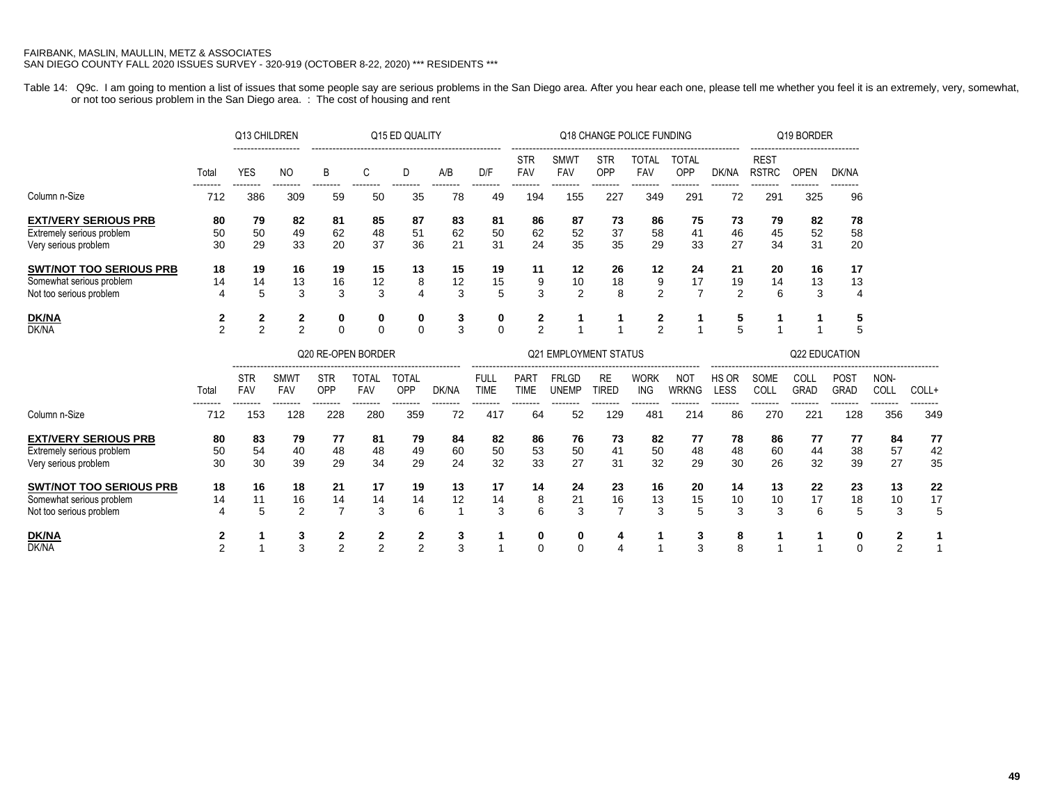Table 14: Q9c. I am going to mention a list of issues that some people say are serious problems in the San Diego area. After you hear each one, please tell me whether you feel it is an extremely, very, somewhat, or not too serious problem in the San Diego area. : The cost of housing and rent

|                                                                                       |                     | Q13 CHILDREN        |                    | Q15 ED QUALITY             |                     |                           |                |                            |                            |                                                                  | Q18 CHANGE POLICE FUNDING  |                            |                            |                             | Q19 BORDER                  |                                                |                            |                    |                |
|---------------------------------------------------------------------------------------|---------------------|---------------------|--------------------|----------------------------|---------------------|---------------------------|----------------|----------------------------|----------------------------|------------------------------------------------------------------|----------------------------|----------------------------|----------------------------|-----------------------------|-----------------------------|------------------------------------------------|----------------------------|--------------------|----------------|
|                                                                                       | Total               | <b>YES</b>          | <b>NO</b>          | B                          | C                   | D                         | A/B            | D/F                        | <b>STR</b><br><b>FAV</b>   | <b>SMWT</b><br>FAV                                               | <b>STR</b><br>OPP          | <b>TOTAL</b><br><b>FAV</b> | <b>TOTAL</b><br>OPP        | ------------------<br>DK/NA | <b>REST</b><br><b>RSTRC</b> | -------------------------------<br><b>OPEN</b> | DK/NA                      |                    |                |
| Column n-Size                                                                         | 712                 | 386                 | .<br>309           | 59                         | -----<br>50         | 35                        | 78             | 49                         | --------<br>194            | --------<br>155                                                  | --------<br>227            | --------<br>349            | --------<br>291            | --------<br>72              | --------<br>291             | --------<br>325                                | 96                         |                    |                |
| <b>EXT/VERY SERIOUS PRB</b><br>Extremely serious problem<br>Very serious problem      | 80<br>50<br>30      | 79<br>50<br>29      | 82<br>49<br>33     | 81<br>62<br>20             | 85<br>48<br>37      | 87<br>51<br>36            | 83<br>62<br>21 | 81<br>50<br>31             | 86<br>62<br>24             | 87<br>52<br>35                                                   | 73<br>37<br>35             | 86<br>58<br>29             | 75<br>41<br>33             | 73<br>46<br>27              | 79<br>45<br>34              | 82<br>52<br>31                                 | 78<br>58<br>20             |                    |                |
| <b>SWT/NOT TOO SERIOUS PRB</b><br>Somewhat serious problem<br>Not too serious problem | 18<br>14<br>4       | 19<br>14<br>5       | 16<br>13<br>3      | 19<br>16<br>3              | 15<br>12<br>3       | 13<br>8<br>$\overline{4}$ | 15<br>12<br>3  | 19<br>15<br>5              | 11<br>9<br>3               | 12<br>10<br>$\overline{2}$                                       | 26<br>18<br>8              | 12<br>9<br>$\overline{2}$  | 24<br>17<br>$\overline{7}$ | 21<br>19<br>$\overline{2}$  | 20<br>14                    | 16<br>13<br>3                                  | 17<br>13                   |                    |                |
| <b>DK/NA</b><br><b>DK/NA</b>                                                          | 2<br>$\overline{2}$ | 2<br>$\overline{2}$ | 2<br>2             | 0<br>$\Omega$              | 0<br>0              | 0<br>$\Omega$             | 3<br>3         | 0<br>$\mathbf 0$           | 2<br>2                     |                                                                  |                            | $\mathbf{2}$<br>2          |                            | 5<br>5                      |                             | 1                                              | 5<br>5                     |                    |                |
|                                                                                       |                     |                     |                    |                            | Q20 RE-OPEN BORDER  |                           |                |                            |                            | <b>Q21 EMPLOYMENT STATUS</b><br>-------------------------------- |                            |                            |                            | <b>Q22 EDUCATION</b>        |                             |                                                |                            |                    |                |
|                                                                                       | Total               | <b>STR</b><br>FAV   | <b>SMWT</b><br>FAV | <b>STR</b><br>OPP          | TOTAL<br>FAV        | <b>TOTAL</b><br>OPP       | DK/NA          | <b>FULL</b><br><b>TIME</b> | <b>PART</b><br><b>TIME</b> | <b>FRLGD</b><br><b>UNEMP</b>                                     | RE<br><b>TIRED</b>         | <b>WORK</b><br><b>ING</b>  | <b>NOT</b><br><b>WRKNG</b> | HS OR<br>LESS               | SOME<br>COLL                | COLL<br><b>GRAD</b>                            | <b>POST</b><br><b>GRAD</b> | NON-<br>COLL       | COLL+          |
| Column n-Size                                                                         | 712                 | .<br>153            | --------<br>128    | --------<br>228            | --------<br>280     | --------<br>359           | --------<br>72 | --------<br>417            | --------<br>64             | --------<br>52                                                   | --------<br>129            | --------<br>481            | --------<br>214            | --------<br>86              | --------<br>270             | --------<br>221                                | --------<br>128            | --------<br>356    | <br>349        |
| <b>EXT/VERY SERIOUS PRB</b><br>Extremely serious problem<br>Very serious problem      | 80<br>50<br>30      | 83<br>54<br>30      | 79<br>40<br>39     | 77<br>48<br>29             | 81<br>48<br>34      | 79<br>49<br>29            | 84<br>60<br>24 | 82<br>50<br>32             | 86<br>53<br>33             | 76<br>50<br>27                                                   | 73<br>41<br>31             | 82<br>50<br>32             | 77<br>48<br>29             | 78<br>48<br>30              | 86<br>60<br>26              | 77<br>44<br>32                                 | 77<br>38<br>39             | 84<br>57<br>27     | 77<br>42<br>35 |
| <b>SWT/NOT TOO SERIOUS PRB</b><br>Somewhat serious problem<br>Not too serious problem | 18<br>14<br>4       | 16<br>11<br>5       | 18<br>16<br>2      | 21<br>14<br>$\overline{7}$ | 17<br>14<br>3       | 19<br>14<br>6             | 13<br>12       | 17<br>14<br>3              | 14<br>8<br>6               | 24<br>21<br>3                                                    | 23<br>16<br>$\overline{7}$ | 16<br>13<br>3              | 20<br>15<br>5              | 14<br>10<br>3               | 13<br>10<br>3               | 22<br>17<br>6                                  | 23<br>18<br>5              | 13<br>10<br>3      | 22<br>17<br>5  |
| <b>DK/NA</b><br>DK/NA                                                                 | 2<br>$\mathfrak{p}$ |                     | 3<br>3             | 2<br>$\overline{2}$        | 2<br>$\overline{2}$ | 2<br>$\overline{2}$       | 3<br>3         |                            | 0<br>0                     | 0<br>$\Omega$                                                    | 4<br>4                     |                            | 3<br>3                     | 8<br>8                      |                             |                                                | 0<br>$\Omega$              | 2<br>$\mathcal{P}$ | 1              |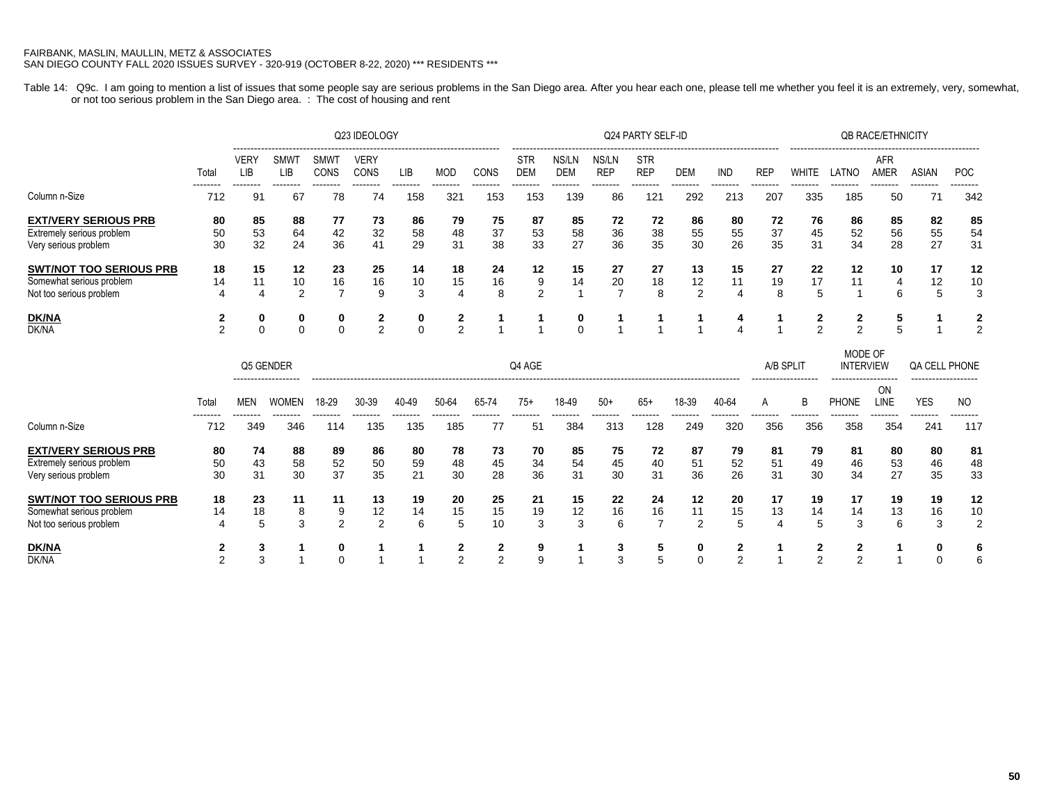Table 14: Q9c. I am going to mention a list of issues that some people say are serious problems in the San Diego area. After you hear each one, please tell me whether you feel it is an extremely, very, somewhat, or not too serious problem in the San Diego area. : The cost of housing and rent

|                                                                                       |                 |                |                    |                | Q23 IDEOLOGY        |                 |                 |                 |                   |                     |                     | Q24 PARTY SELF-ID        |                           | <b>QB RACE/ETHNICITY</b> |                 |                 |                 |                    |                |                 |
|---------------------------------------------------------------------------------------|-----------------|----------------|--------------------|----------------|---------------------|-----------------|-----------------|-----------------|-------------------|---------------------|---------------------|--------------------------|---------------------------|--------------------------|-----------------|-----------------|-----------------|--------------------|----------------|-----------------|
|                                                                                       | Total           | VERY<br>LIB    | <b>SMWT</b><br>LIB | SMWT<br>CONS   | <b>VERY</b><br>CONS | <b>LIB</b>      | <b>MOD</b>      | CONS            | STR<br><b>DEM</b> | NS/LN<br><b>DEM</b> | NS/LN<br><b>REP</b> | <b>STR</b><br><b>REP</b> | DEM                       | <b>IND</b>               | REP             | WHITE           | LATNO           | <b>AFR</b><br>AMER | ASIAN          | <b>POC</b>      |
| Column n-Size                                                                         | --------<br>712 | --------<br>9' | --------<br>67     | --------<br>78 | --------<br>74      | --------<br>158 | --------<br>321 | --------<br>153 | --------<br>153   | --------<br>139     | --------<br>86      | --------<br>121          | --------<br>292           | --------<br>213          | --------<br>207 | --------<br>335 | --------<br>185 | --------<br>50     | ---------      | --------<br>342 |
| <b>EXT/VERY SERIOUS PRB</b><br>Extremely serious problem<br>Very serious problem      | 80<br>50<br>30  | 85<br>53<br>32 | 88<br>64<br>24     | 77<br>42<br>36 | 73<br>32<br>41      | 86<br>58<br>29  | 79<br>48<br>31  | 75<br>37<br>38  | 87<br>53<br>33    | 85<br>58<br>27      | 72<br>36<br>36      | 72<br>38<br>35           | 86<br>55<br>30            | 80<br>55<br>26           | 72<br>37<br>35  | 76<br>45<br>31  | 86<br>52<br>34  | 85<br>56<br>28     | 82<br>55<br>27 | 85<br>54<br>31  |
| <b>SWT/NOT TOO SERIOUS PRB</b><br>Somewhat serious problem<br>Not too serious problem | 18<br>14<br>4   | 15<br>11<br>4  | 12<br>10<br>2      | 23<br>16       | 25<br>16<br>9       | 14<br>10<br>ົ   | 18<br>15        | 24<br>16<br>8   | 12<br>9<br>2      | 15<br>14            | 27<br>20            | 27<br>18<br>8            | 13<br>12<br>$\mathcal{P}$ | 15<br>11<br>4            | 27<br>19<br>8   | 22<br>17<br>5   | 12<br>11        | 10<br>6            | 17<br>12<br>∍  | 12<br>10        |
| <b>DK/NA</b><br>DK/NA                                                                 |                 | 0              | 0                  | 0<br>$\Omega$  | ົ                   | 0<br>$\Omega$   | 2<br>C          |                 |                   | 0<br>$\Omega$       |                     |                          |                           |                          |                 | ◠<br>$\sim$     | ◠<br>C          |                    |                |                 |

|                                |                 |                 | Q5 GENDER                           | Q4 AGE          |                 |                 |                 |                |       |                 |                 |                 |                 |                 | A/B SPLIT                           |                 | MODE OF<br><b>INTERVIEW</b>         |                 | QA CELL PHONE                     |                 |
|--------------------------------|-----------------|-----------------|-------------------------------------|-----------------|-----------------|-----------------|-----------------|----------------|-------|-----------------|-----------------|-----------------|-----------------|-----------------|-------------------------------------|-----------------|-------------------------------------|-----------------|-----------------------------------|-----------------|
|                                | Total           | MEN             | -------------------<br><b>WOMEN</b> | 18-29           | 30-39           | 40-49           | 50-64           | 65-74          | $75+$ | 18-49           | $50+$           | 65+             | 18-39           | 40-64           | -------------------<br>$\mathsf{A}$ | B               | -------------------<br><b>PHONE</b> | ON<br>_INE      | -------------------<br><b>YES</b> | NO.             |
| Column n-Size                  | --------<br>712 | --------<br>349 | --------<br>346                     | --------<br>114 | --------<br>135 | --------<br>135 | --------<br>185 | --------<br>77 | 51    | --------<br>384 | --------<br>313 | --------<br>128 | --------<br>249 | --------<br>320 | --------<br>356                     | --------<br>356 | --------<br>358                     | --------<br>354 | --------<br>241                   | --------<br>117 |
| <b>EXT/VERY SERIOUS PRB</b>    | 80              | 74              | 88                                  | 89              | 86              | 80              | 78              | 73             | 70    | 85              | 75              | 72              | 87              | 79              | 81                                  | 79              | 81                                  | 80              | 80                                | 81              |
| Extremely serious problem      | 50              | 43              | 58                                  | 52              | 50              | 59              | 48              | 45             | 34    | 54              | 45              | 40              | 51              | 52              | 51                                  | 49              | 46                                  | 53              | 46                                | 48              |
| Very serious problem           | 30              | 31              | 30                                  | 37              | 35              | 21              | 30              | 28             | 36    | 31              | 30              | 31              | 36              | 26              | 31                                  | 30              | 34                                  | 27              | 35                                | 33              |
| <b>SWT/NOT TOO SERIOUS PRB</b> | 18              | 23              | 11                                  | 11              | 13              | 19              | 20              | 25             | 21    | 15              | 22              | 24              | 12              | 20              | 17                                  | 19              | 17                                  | 19              | 19                                | 12              |
| Somewhat serious problem       | 14              | 18              | 8                                   | 9               | 12              | 14              | 15              | 15             | 19    | 12              | 16              | 16              | 11              | 15              | 13                                  | 14              | 14                                  | 13              | 16                                | 10              |
| Not too serious problem        |                 |                 | 3                                   | っ               | 2               | 6               | 5               | 10             | 3     | З               | 6               |                 | 2               | 5               | 4                                   |                 | 3                                   | 6               | 3                                 | 2               |
| <u>DK/NA</u>                   |                 |                 |                                     | 0               |                 |                 |                 | 2              | 9     |                 | J.              | 5               | 0               | 2               |                                     |                 |                                     |                 | 0                                 | 6               |
| DK/NA                          |                 |                 |                                     | $\Omega$        |                 |                 | $\sim$          | $\sim$         |       |                 |                 | 5               | $\Omega$        | $\sim$          |                                     |                 |                                     |                 |                                   | 6               |